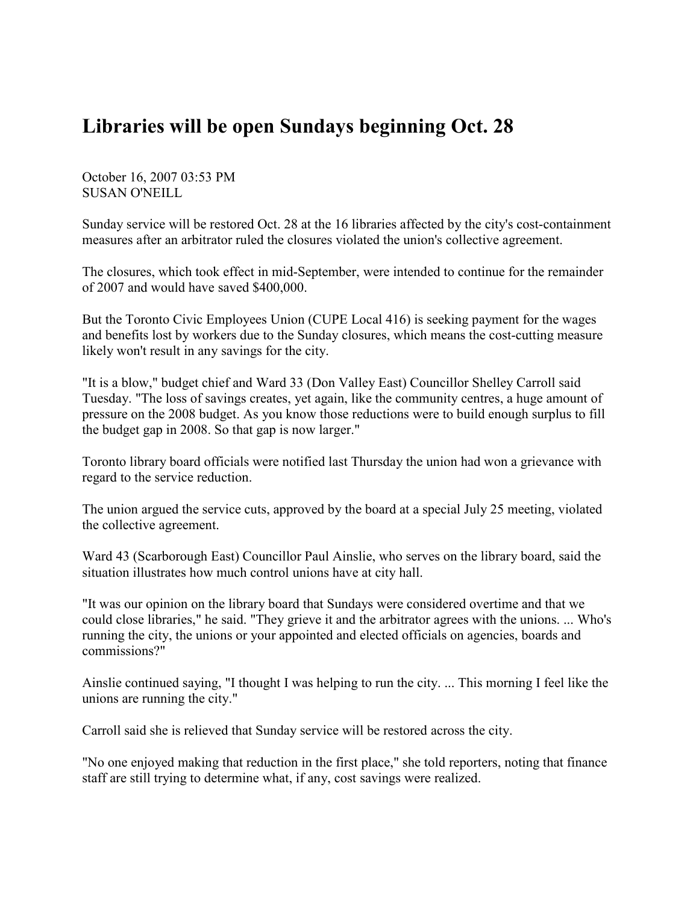## Libraries will be open Sundays beginning Oct. 28

October 16, 2007 03:53 PM SUSAN O'NEILL

Sunday service will be restored Oct. 28 at the 16 libraries affected by the city's cost-containment measures after an arbitrator ruled the closures violated the union's collective agreement.

The closures, which took effect in mid-September, were intended to continue for the remainder of 2007 and would have saved \$400,000.

But the Toronto Civic Employees Union (CUPE Local 416) is seeking payment for the wages and benefits lost by workers due to the Sunday closures, which means the cost-cutting measure likely won't result in any savings for the city.

"It is a blow," budget chief and Ward 33 (Don Valley East) Councillor Shelley Carroll said Tuesday. "The loss of savings creates, yet again, like the community centres, a huge amount of pressure on the 2008 budget. As you know those reductions were to build enough surplus to fill the budget gap in 2008. So that gap is now larger."

Toronto library board officials were notified last Thursday the union had won a grievance with regard to the service reduction.

The union argued the service cuts, approved by the board at a special July 25 meeting, violated the collective agreement.

Ward 43 (Scarborough East) Councillor Paul Ainslie, who serves on the library board, said the situation illustrates how much control unions have at city hall.

"It was our opinion on the library board that Sundays were considered overtime and that we could close libraries," he said. "They grieve it and the arbitrator agrees with the unions. ... Who's running the city, the unions or your appointed and elected officials on agencies, boards and commissions?"

Ainslie continued saying, "I thought I was helping to run the city. ... This morning I feel like the unions are running the city."

Carroll said she is relieved that Sunday service will be restored across the city.

"No one enjoyed making that reduction in the first place," she told reporters, noting that finance staff are still trying to determine what, if any, cost savings were realized.